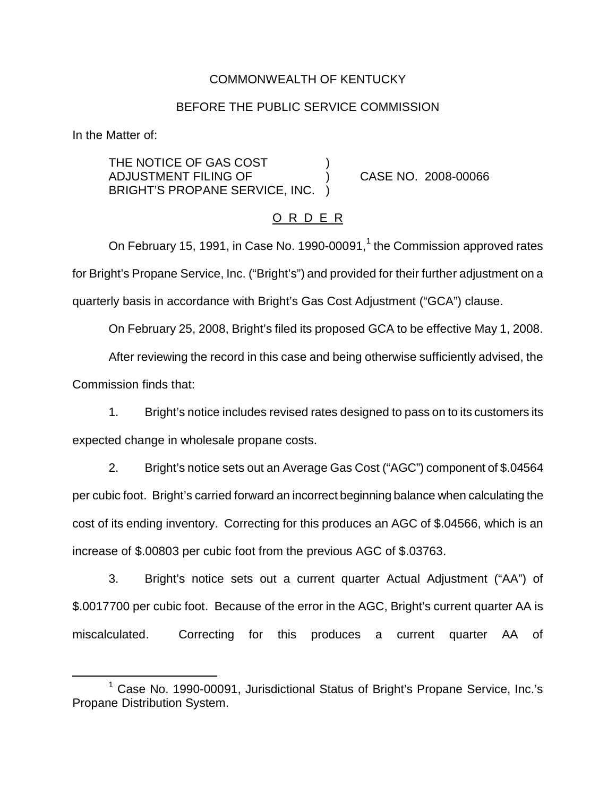### COMMONWEALTH OF KENTUCKY

#### BEFORE THE PUBLIC SERVICE COMMISSION

In the Matter of:

THE NOTICE OF GAS COST ADJUSTMENT FILING OF ) CASE NO. 2008-00066 BRIGHT'S PROPANE SERVICE, INC.

### O R D E R

On February 15, 1991, in Case No. 1990-00091, $<sup>1</sup>$  the Commission approved rates</sup> for Bright's Propane Service, Inc. ("Bright's") and provided for their further adjustment on a quarterly basis in accordance with Bright's Gas Cost Adjustment ("GCA") clause.

On February 25, 2008, Bright's filed its proposed GCA to be effective May 1, 2008.

After reviewing the record in this case and being otherwise sufficiently advised, the Commission finds that:

1. Bright's notice includes revised rates designed to pass on to its customers its expected change in wholesale propane costs.

2. Bright's notice sets out an Average Gas Cost ("AGC") component of \$.04564 per cubic foot. Bright's carried forward an incorrect beginning balance when calculating the cost of its ending inventory. Correcting for this produces an AGC of \$.04566, which is an increase of \$.00803 per cubic foot from the previous AGC of \$.03763.

3. Bright's notice sets out a current quarter Actual Adjustment ("AA") of \$.0017700 per cubic foot. Because of the error in the AGC, Bright's current quarter AA is miscalculated. Correcting for this produces a current quarter AA of

<sup>&</sup>lt;sup>1</sup> Case No. 1990-00091, Jurisdictional Status of Bright's Propane Service, Inc.'s Propane Distribution System.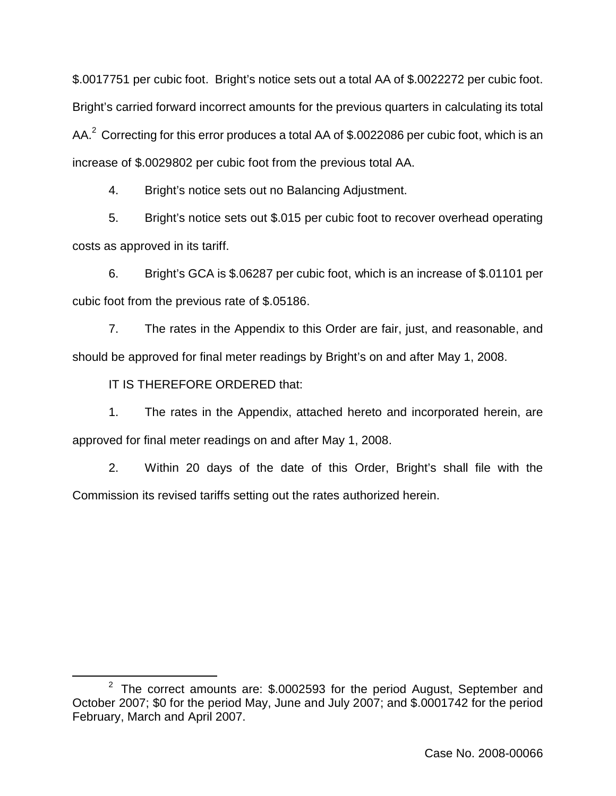\$.0017751 per cubic foot. Bright's notice sets out a total AA of \$.0022272 per cubic foot. Bright's carried forward incorrect amounts for the previous quarters in calculating its total AA. $<sup>2</sup>$  Correcting for this error produces a total AA of \$.0022086 per cubic foot, which is an</sup> increase of \$.0029802 per cubic foot from the previous total AA.

4. Bright's notice sets out no Balancing Adjustment.

5. Bright's notice sets out \$.015 per cubic foot to recover overhead operating costs as approved in its tariff.

6. Bright's GCA is \$.06287 per cubic foot, which is an increase of \$.01101 per cubic foot from the previous rate of \$.05186.

7. The rates in the Appendix to this Order are fair, just, and reasonable, and should be approved for final meter readings by Bright's on and after May 1, 2008.

IT IS THEREFORE ORDERED that:

1. The rates in the Appendix, attached hereto and incorporated herein, are approved for final meter readings on and after May 1, 2008.

2. Within 20 days of the date of this Order, Bright's shall file with the Commission its revised tariffs setting out the rates authorized herein.

 $2$  The correct amounts are: \$.0002593 for the period August, September and October 2007; \$0 for the period May, June and July 2007; and \$.0001742 for the period February, March and April 2007.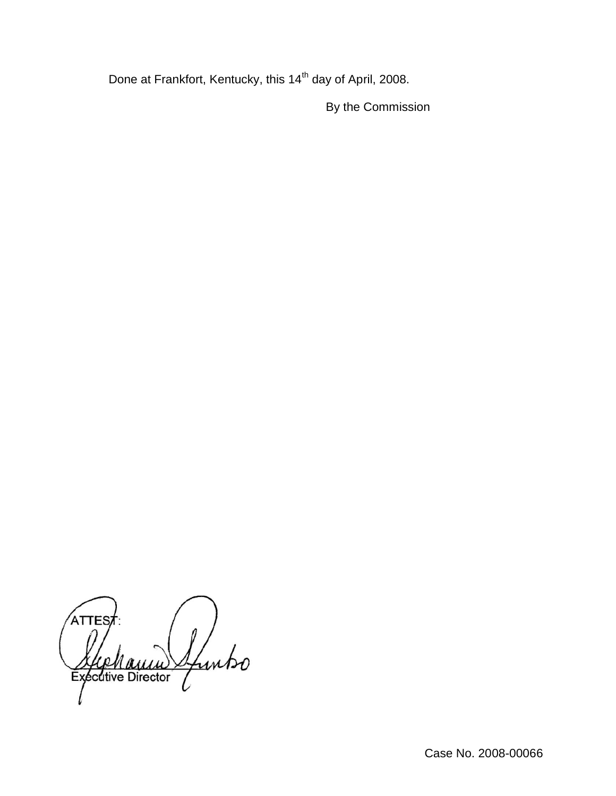Done at Frankfort, Kentucky, this 14<sup>th</sup> day of April, 2008.

By the Commission

ATTES Ifuntso Executive Director